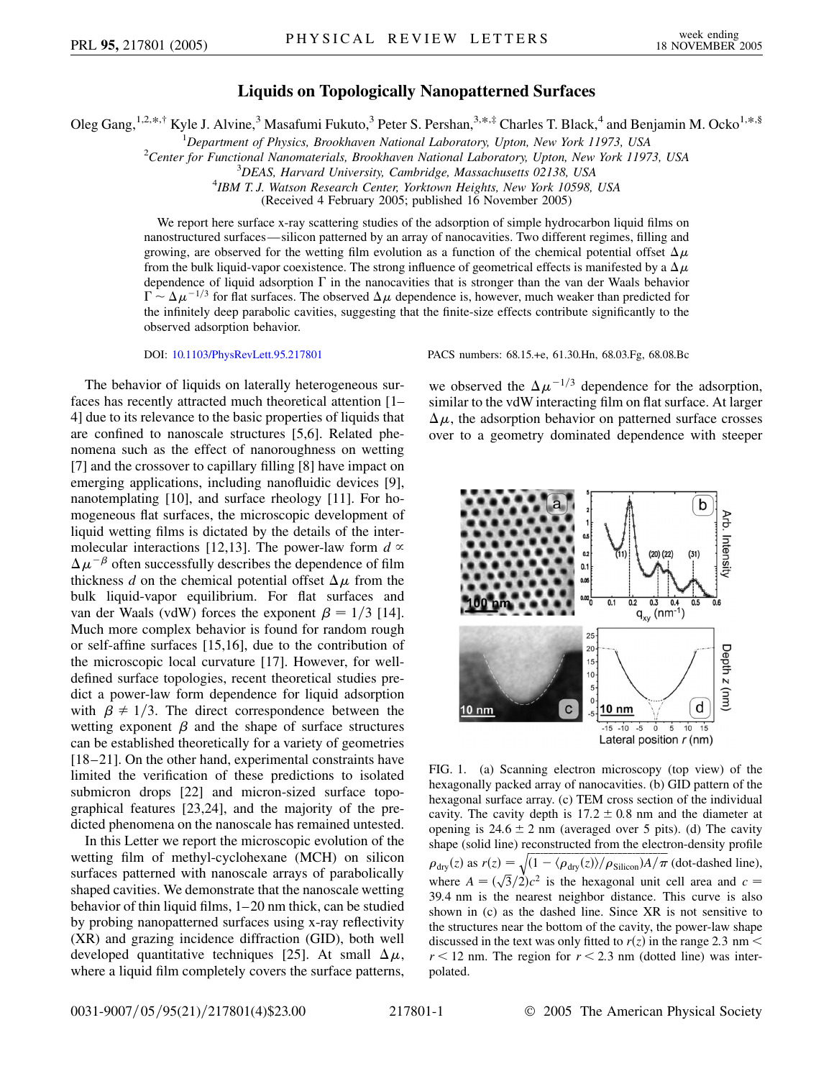## **Liquids on Topologically Nanopatterned Surfaces**

Oleg Gang,<sup>1,2,\*,†</sup> Kyle J. Alvine,<sup>3</sup> Masafumi Fukuto,<sup>3</sup> Peter S. Pershan,<sup>3,\*,‡</sup> Charles T. Black,<sup>4</sup> and Benjamin M. Ocko<sup>1,\*,§</sup>

<sup>1</sup> Department of Physics, Brookhaven National Laboratory, Upton, New York 11973, USA<sup>2</sup>Center for Eunctional Nanomaterials, Brookhaven National Laboratory, Unton, New York 11973

<sup>2</sup> Center for Functional Nanomaterials, Brookhaven National Laboratory, Upton, New York 11973, USA

<sup>3</sup>DEAS, Harvard University, Cambridge, Massachusetts 02138, USA

*IBM T. J. Watson Research Center, Yorktown Heights, New York 10598, USA*

(Received 4 February 2005; published 16 November 2005)

We report here surface x-ray scattering studies of the adsorption of simple hydrocarbon liquid films on nanostructured surfaces—silicon patterned by an array of nanocavities. Two different regimes, filling and growing, are observed for the wetting film evolution as a function of the chemical potential offset  $\Delta \mu$ from the bulk liquid-vapor coexistence. The strong influence of geometrical effects is manifested by a  $\Delta \mu$ dependence of liquid adsorption  $\Gamma$  in the nanocavities that is stronger than the van der Waals behavior  $\Gamma \sim \Delta \mu^{-1/3}$  for flat surfaces. The observed  $\Delta \mu$  dependence is, however, much weaker than predicted for the infinitely deep parabolic cavities, suggesting that the finite-size effects contribute significantly to the observed adsorption behavior.

The behavior of liquids on laterally heterogeneous surfaces has recently attracted much theoretical attention [1– 4] due to its relevance to the basic properties of liquids that are confined to nanoscale structures [5,6]. Related phenomena such as the effect of nanoroughness on wetting [7] and the crossover to capillary filling [8] have impact on emerging applications, including nanofluidic devices [9], nanotemplating [10], and surface rheology [11]. For homogeneous flat surfaces, the microscopic development of liquid wetting films is dictated by the details of the intermolecular interactions [12,13]. The power-law form  $d \propto$  $\Delta \mu^{-\beta}$  often successfully describes the dependence of film thickness *d* on the chemical potential offset  $\Delta \mu$  from the bulk liquid-vapor equilibrium. For flat surfaces and van der Waals (vdW) forces the exponent  $\beta = 1/3$  [14]. Much more complex behavior is found for random rough or self-affine surfaces [15,16], due to the contribution of the microscopic local curvature [17]. However, for welldefined surface topologies, recent theoretical studies predict a power-law form dependence for liquid adsorption with  $\beta \neq 1/3$ . The direct correspondence between the wetting exponent  $\beta$  and the shape of surface structures can be established theoretically for a variety of geometries [18–21]. On the other hand, experimental constraints have limited the verification of these predictions to isolated submicron drops [22] and micron-sized surface topographical features [23,24], and the majority of the predicted phenomena on the nanoscale has remained untested.

In this Letter we report the microscopic evolution of the wetting film of methyl-cyclohexane (MCH) on silicon surfaces patterned with nanoscale arrays of parabolically shaped cavities. We demonstrate that the nanoscale wetting behavior of thin liquid films, 1–20 nm thick, can be studied by probing nanopatterned surfaces using x-ray reflectivity (XR) and grazing incidence diffraction (GID), both well developed quantitative techniques [25]. At small  $\Delta \mu$ , where a liquid film completely covers the surface patterns,

DOI: [10.1103/PhysRevLett.95.217801](http://dx.doi.org/10.1103/PhysRevLett.95.217801) PACS numbers: 68.15.+e, 61.30.Hn, 68.03.Fg, 68.08.Bc

we observed the  $\Delta \mu^{-1/3}$  dependence for the adsorption, similar to the vdW interacting film on flat surface. At larger  $\Delta \mu$ , the adsorption behavior on patterned surface crosses over to a geometry dominated dependence with steeper



FIG. 1. (a) Scanning electron microscopy (top view) of the hexagonally packed array of nanocavities. (b) GID pattern of the hexagonal surface array. (c) TEM cross section of the individual cavity. The cavity depth is  $17.2 \pm 0.8$  nm and the diameter at opening is  $24.6 \pm 2$  nm (averaged over 5 pits). (d) The cavity shape (solid line) reconstructed from the electron-density profile  $\rho_{\text{dry}}(z)$  as  $r(z) = \sqrt{\frac{(1 - \langle \rho_{\text{dry}}(z) \rangle / \rho_{\text{Silicon}}) A / \pi}}$  (dot-dashed line),<br>where  $A = (\sqrt{3}/2)c^2$  is the hexagonal unit cell area and  $c =$ 39*:*4 nm is the nearest neighbor distance. This curve is also shown in (c) as the dashed line. Since XR is not sensitive to the structures near the bottom of the cavity, the power-law shape discussed in the text was only fitted to  $r(z)$  in the range 2.3 nm <  $r < 12$  nm. The region for  $r < 2.3$  nm (dotted line) was interpolated.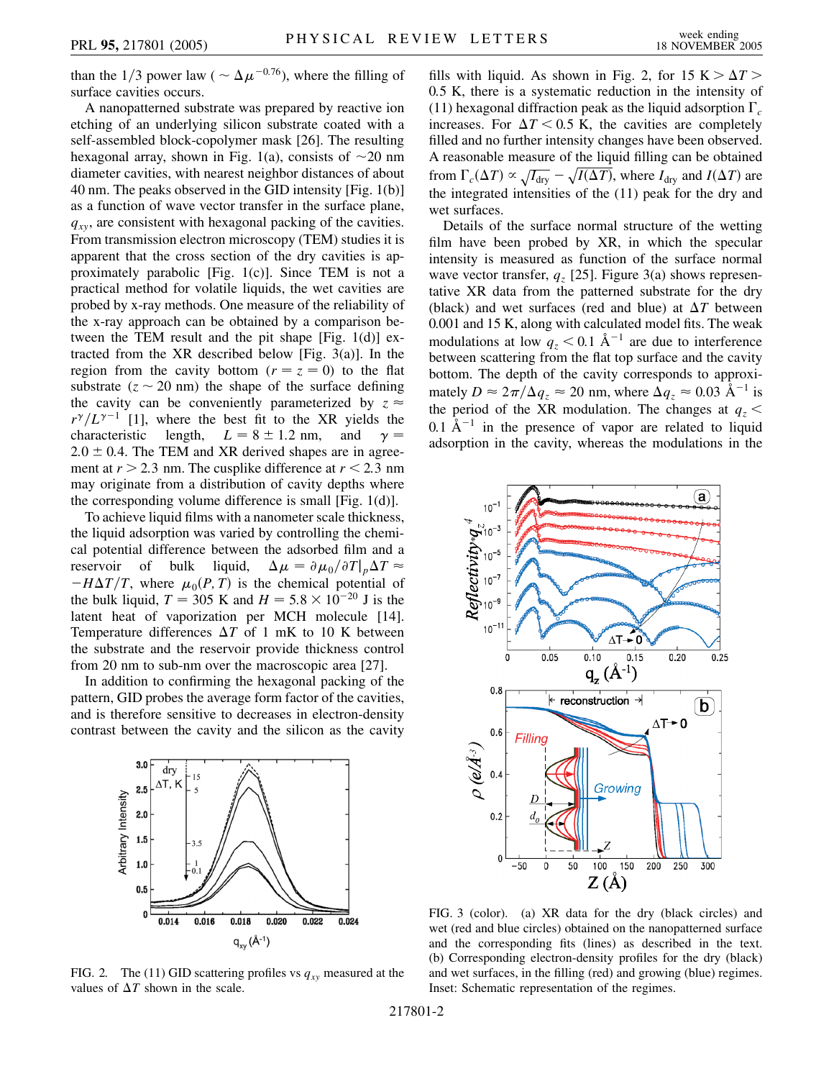than the 1/3 power law ( $\sim \Delta \mu^{-0.76}$ ), where the filling of surface cavities occurs.

A nanopatterned substrate was prepared by reactive ion etching of an underlying silicon substrate coated with a self-assembled block-copolymer mask [26]. The resulting hexagonal array, shown in Fig. 1(a), consists of  $\sim$ 20 nm diameter cavities, with nearest neighbor distances of about 40 nm. The peaks observed in the GID intensity [Fig. 1(b)] as a function of wave vector transfer in the surface plane,  $q_{xy}$ , are consistent with hexagonal packing of the cavities. From transmission electron microscopy (TEM) studies it is apparent that the cross section of the dry cavities is approximately parabolic [Fig. 1(c)]. Since TEM is not a practical method for volatile liquids, the wet cavities are probed by x-ray methods. One measure of the reliability of the x-ray approach can be obtained by a comparison between the TEM result and the pit shape [Fig. 1(d)] extracted from the XR described below [Fig. 3(a)]. In the region from the cavity bottom ( $r = z = 0$ ) to the flat substrate  $(z \sim 20 \text{ nm})$  the shape of the surface defining the cavity can be conveniently parameterized by  $z \approx$  $r^{\gamma}/L^{\gamma-1}$  [1], where the best fit to the XR yields the characteristic length,  $L = 8 \pm 1.2$  nm, and  $\gamma =$  $2.0 \pm 0.4$ . The TEM and XR derived shapes are in agreement at  $r > 2.3$  nm. The cusplike difference at  $r < 2.3$  nm may originate from a distribution of cavity depths where the corresponding volume difference is small [Fig. 1(d)].

To achieve liquid films with a nanometer scale thickness, the liquid adsorption was varied by controlling the chemical potential difference between the adsorbed film and a reservoir of bulk liquid,  $\Delta \mu = \partial \mu_0 / \partial T \partial \mu_0$  $-H\Delta T/T$ , where  $\mu_0(P, T)$  is the chemical potential of the bulk liquid,  $T = 305$  K and  $H = 5.8 \times 10^{-20}$  J is the latent heat of vaporization per MCH molecule [14]. Temperature differences  $\Delta T$  of 1 mK to 10 K between the substrate and the reservoir provide thickness control from 20 nm to sub-nm over the macroscopic area [27].

In addition to confirming the hexagonal packing of the pattern, GID probes the average form factor of the cavities, and is therefore sensitive to decreases in electron-density contrast between the cavity and the silicon as the cavity



FIG. 2. The (11) GID scattering profiles vs  $q_{xy}$  measured at the values of  $\Delta T$  shown in the scale.

fills with liquid. As shown in Fig. 2, for  $15 K > \Delta T$ 0*:*5 K, there is a systematic reduction in the intensity of (11) hexagonal diffraction peak as the liquid adsorption  $\Gamma_c$ increases. For  $\Delta T < 0.5$  K, the cavities are completely filled and no further intensity changes have been observed. A reasonable measure of the liquid filling can be obtained from  $\Gamma_c(\Delta T) \propto \sqrt{I_{\text{dry}}} - \sqrt{I(\Delta T)}$ , where  $I_{\text{dry}}$  and  $I(\Delta T)$  are the integrated intensities of the (11) peak for the dry and wet surfaces.

Details of the surface normal structure of the wetting film have been probed by XR, in which the specular intensity is measured as function of the surface normal wave vector transfer,  $q_z$  [25]. Figure 3(a) shows representative XR data from the patterned substrate for the dry (black) and wet surfaces (red and blue) at  $\Delta T$  between 0.001 and 15 K, along with calculated model fits. The weak modulations at low  $q_z < 0.1 \text{ Å}^{-1}$  are due to interference between scattering from the flat top surface and the cavity bottom. The depth of the cavity corresponds to approximately  $D \approx 2\pi/\Delta q_z \approx 20$  nm, where  $\Delta q_z \approx 0.03$  Å<sup>-1</sup> is the period of the XR modulation. The changes at  $q_z$  <  $0.1 \text{ Å}^{-1}$  in the presence of vapor are related to liquid adsorption in the cavity, whereas the modulations in the



FIG. 3 (color). (a) XR data for the dry (black circles) and wet (red and blue circles) obtained on the nanopatterned surface and the corresponding fits (lines) as described in the text. (b) Corresponding electron-density profiles for the dry (black) and wet surfaces, in the filling (red) and growing (blue) regimes. Inset: Schematic representation of the regimes.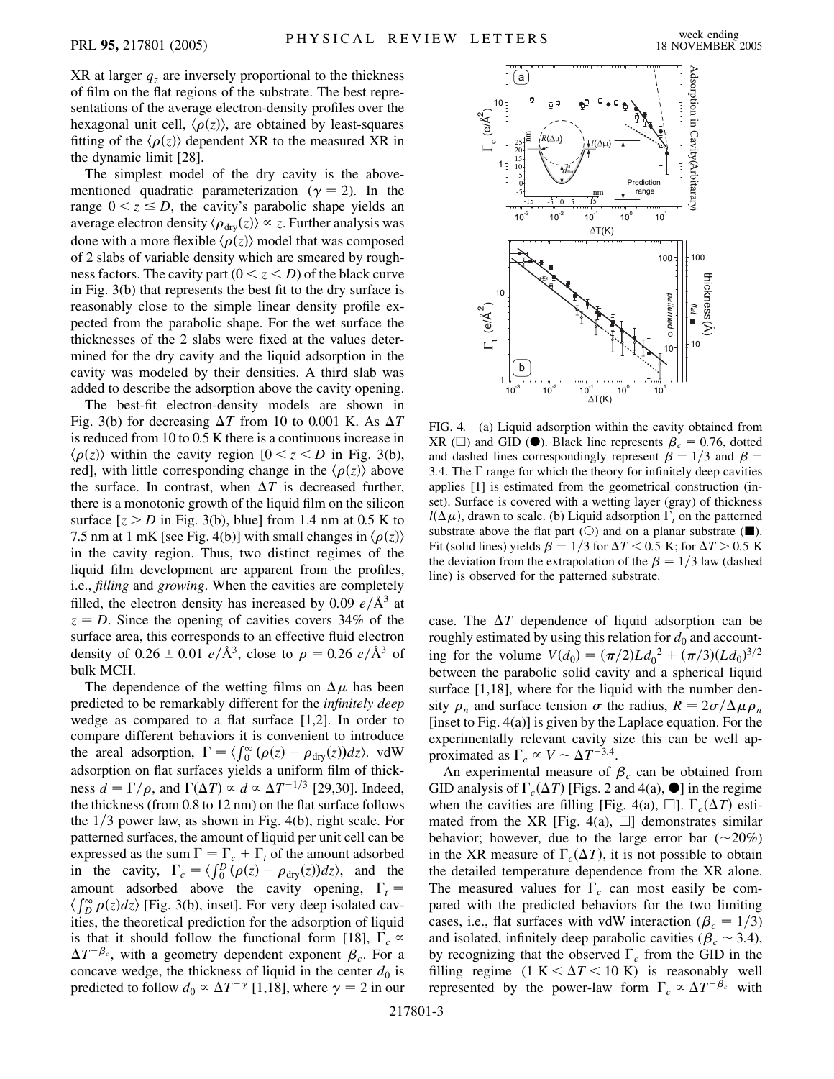XR at larger  $q<sub>z</sub>$  are inversely proportional to the thickness of film on the flat regions of the substrate. The best representations of the average electron-density profiles over the hexagonal unit cell,  $\langle \rho(z) \rangle$ , are obtained by least-squares fitting of the  $\langle \rho(z) \rangle$  dependent XR to the measured XR in the dynamic limit [28].

The simplest model of the dry cavity is the abovementioned quadratic parameterization ( $\gamma = 2$ ). In the range  $0 < z \leq D$ , the cavity's parabolic shape yields an average electron density  $\langle \rho_{\text{dry}}(z) \rangle \propto z$ . Further analysis was done with a more flexible  $\langle \rho(z) \rangle$  model that was composed of 2 slabs of variable density which are smeared by roughness factors. The cavity part  $(0 \lt z \lt D)$  of the black curve in Fig. 3(b) that represents the best fit to the dry surface is reasonably close to the simple linear density profile expected from the parabolic shape. For the wet surface the thicknesses of the 2 slabs were fixed at the values determined for the dry cavity and the liquid adsorption in the cavity was modeled by their densities. A third slab was added to describe the adsorption above the cavity opening.

The best-fit electron-density models are shown in Fig. 3(b) for decreasing  $\Delta T$  from 10 to 0.001 K. As  $\Delta T$ is reduced from 10 to 0.5 K there is a continuous increase in  $\langle \rho(z) \rangle$  within the cavity region  $[0 \lt z \lt D]$  in Fig. 3(b), red], with little corresponding change in the  $\langle \rho(z) \rangle$  above the surface. In contrast, when  $\Delta T$  is decreased further, there is a monotonic growth of the liquid film on the silicon surface  $[z > D$  in Fig. 3(b), blue] from 1.4 nm at 0.5 K to 7.5 nm at 1 mK [see Fig. 4(b)] with small changes in  $\langle \rho(z) \rangle$ in the cavity region. Thus, two distinct regimes of the liquid film development are apparent from the profiles, i.e., *filling* and *growing*. When the cavities are completely filled, the electron density has increased by 0.09  $e/\text{\AA}^3$  at  $z = D$ . Since the opening of cavities covers 34% of the surface area, this corresponds to an effective fluid electron density of  $0.26 \pm 0.01 \frac{e}{\text{A}^3}$ , close to  $\rho = 0.26 \frac{e}{\text{A}^3}$  of bulk MCH.

The dependence of the wetting films on  $\Delta \mu$  has been predicted to be remarkably different for the *infinitely deep* wedge as compared to a flat surface [1,2]. In order to compare different behaviors it is convenient to introduce the areal adsorption,  $\Gamma = \langle \int_0^\infty (\rho(z) - \rho_{\text{dry}}(z)) dz \rangle$ . vdW adsorption on flat surfaces yields a uniform film of thickness  $d = \Gamma/\rho$ , and  $\Gamma(\Delta T) \propto d \propto \Delta T^{-1/3}$  [29,30]. Indeed, the thickness (from 0.8 to 12 nm) on the flat surface follows the  $1/3$  power law, as shown in Fig. 4(b), right scale. For patterned surfaces, the amount of liquid per unit cell can be expressed as the sum  $\Gamma = \Gamma_c + \Gamma_t$  of the amount adsorbed in the cavity,  $\Gamma_c = \langle \int_0^D (\rho(z) - \rho_{\text{dry}}(z)) dz \rangle$ , and the amount adsorbed above the cavity opening,  $\Gamma_t =$  $\langle \int_{B}^{\infty} \rho(z) dz \rangle$  [Fig. 3(b), inset]. For very deep isolated cavities, the theoretical prediction for the adsorption of liquid is that it should follow the functional form [18],  $\Gamma_c \propto$  $\Delta T^{-\beta_c}$ , with a geometry dependent exponent  $\beta_c$ . For a concave wedge, the thickness of liquid in the center  $d_0$  is predicted to follow  $d_0 \propto \Delta T^{-\gamma}$  [1,18], where  $\gamma = 2$  in our



FIG. 4. (a) Liquid adsorption within the cavity obtained from XR ( $\Box$ ) and GID ( $\bullet$ ). Black line represents  $\beta_c = 0.76$ , dotted and dashed lines correspondingly represent  $\beta = 1/3$  and  $\beta = 1/3$ 3.4. The  $\Gamma$  range for which the theory for infinitely deep cavities applies [1] is estimated from the geometrical construction (inset). Surface is covered with a wetting layer (gray) of thickness  $l(\Delta \mu)$ , drawn to scale. (b) Liquid adsorption  $\Gamma_t$  on the patterned substrate above the flat part ( $\bigcirc$ ) and on a planar substrate ( $\blacksquare$ ). Fit (solid lines) yields  $\beta = 1/3$  for  $\Delta T < 0.5$  K; for  $\Delta T > 0.5$  K the deviation from the extrapolation of the  $\beta = 1/3$  law (dashed line) is observed for the patterned substrate.

case. The  $\Delta T$  dependence of liquid adsorption can be roughly estimated by using this relation for  $d_0$  and accounting for the volume  $V(d_0) = (\pi/2)Ld_0^2 + (\pi/3)(Ld_0)^{3/2}$ between the parabolic solid cavity and a spherical liquid surface [1,18], where for the liquid with the number density  $\rho_n$  and surface tension  $\sigma$  the radius,  $R = 2\sigma/\Delta \mu \rho_n$ [inset to Fig. 4(a)] is given by the Laplace equation. For the experimentally relevant cavity size this can be well approximated as  $\Gamma_c \propto V \sim \Delta T^{-3.4}$ .

An experimental measure of  $\beta_c$  can be obtained from GID analysis of  $\Gamma_c(\Delta T)$  [Figs. 2 and 4(a),  $\bullet$ ] in the regime when the cavities are filling [Fig. 4(a),  $\square$ ].  $\Gamma_c(\Delta T)$  estimated from the XR [Fig. 4(a),  $\Box$ ] demonstrates similar behavior; however, due to the large error bar  $(\sim 20\%)$ in the XR measure of  $\Gamma_c(\Delta T)$ , it is not possible to obtain the detailed temperature dependence from the XR alone. The measured values for  $\Gamma_c$  can most easily be compared with the predicted behaviors for the two limiting cases, i.e., flat surfaces with vdW interaction ( $\beta_c = 1/3$ ) and isolated, infinitely deep parabolic cavities ( $\beta_c \sim 3.4$ ), by recognizing that the observed  $\Gamma_c$  from the GID in the filling regime  $(1 K < \Delta T < 10 K)$  is reasonably well represented by the power-law form  $\Gamma_c \propto \Delta T^{-\beta_c}$  with